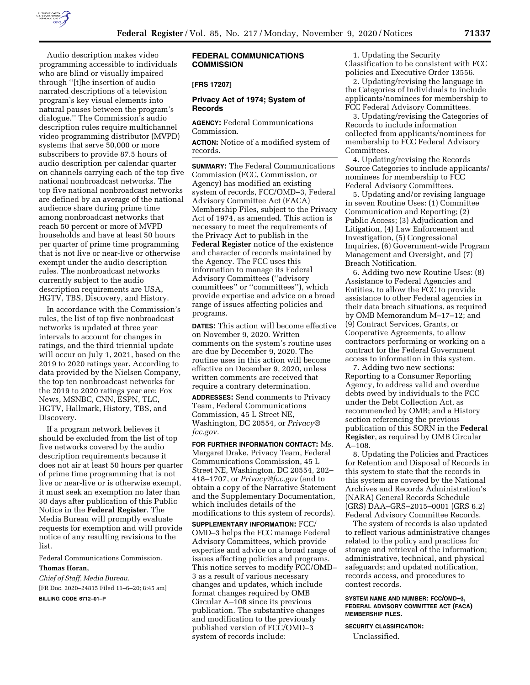

Audio description makes video programming accessible to individuals who are blind or visually impaired through ''[t]he insertion of audio narrated descriptions of a television program's key visual elements into natural pauses between the program's dialogue.'' The Commission's audio description rules require multichannel video programming distributor (MVPD) systems that serve 50,000 or more subscribers to provide 87.5 hours of audio description per calendar quarter on channels carrying each of the top five national nonbroadcast networks. The top five national nonbroadcast networks are defined by an average of the national audience share during prime time among nonbroadcast networks that reach 50 percent or more of MVPD households and have at least 50 hours per quarter of prime time programming that is not live or near-live or otherwise exempt under the audio description rules. The nonbroadcast networks currently subject to the audio description requirements are USA, HGTV, TBS, Discovery, and History.

In accordance with the Commission's rules, the list of top five nonbroadcast networks is updated at three year intervals to account for changes in ratings, and the third triennial update will occur on July 1, 2021, based on the 2019 to 2020 ratings year. According to data provided by the Nielsen Company, the top ten nonbroadcast networks for the 2019 to 2020 ratings year are: Fox News, MSNBC, CNN, ESPN, TLC, HGTV, Hallmark, History, TBS, and Discovery.

If a program network believes it should be excluded from the list of top five networks covered by the audio description requirements because it does not air at least 50 hours per quarter of prime time programming that is not live or near-live or is otherwise exempt, it must seek an exemption no later than 30 days after publication of this Public Notice in the **Federal Register**. The Media Bureau will promptly evaluate requests for exemption and will provide notice of any resulting revisions to the list.

Federal Communications Commission.

#### **Thomas Horan,**

*Chief of Staff, Media Bureau.*  [FR Doc. 2020–24815 Filed 11–6–20; 8:45 am] **BILLING CODE 6712–01–P** 

# **FEDERAL COMMUNICATIONS COMMISSION**

### **[FRS 17207]**

### **Privacy Act of 1974; System of Records**

**AGENCY:** Federal Communications Commission.

**ACTION:** Notice of a modified system of records.

**SUMMARY:** The Federal Communications Commission (FCC, Commission, or Agency) has modified an existing system of records, FCC/OMD–3, Federal Advisory Committee Act (FACA) Membership Files, subject to the Privacy Act of 1974, as amended. This action is necessary to meet the requirements of the Privacy Act to publish in the **Federal Register** notice of the existence and character of records maintained by the Agency. The FCC uses this information to manage its Federal Advisory Committees (''advisory committees'' or ''committees''), which provide expertise and advice on a broad range of issues affecting policies and programs.

**DATES:** This action will become effective on November 9, 2020. Written comments on the system's routine uses are due by December 9, 2020. The routine uses in this action will become effective on December 9, 2020, unless written comments are received that require a contrary determination.

**ADDRESSES:** Send comments to Privacy Team, Federal Communications Commission, 45 L Street NE, Washington, DC 20554, or *[Privacy@](mailto:Privacy@fcc.gov) [fcc.gov.](mailto:Privacy@fcc.gov)* 

**FOR FURTHER INFORMATION CONTACT:** Ms. Margaret Drake, Privacy Team, Federal Communications Commission, 45 L Street NE, Washington, DC 20554, 202– 418–1707, or *[Privacy@fcc.gov](mailto:Privacy@fcc.gov)* (and to obtain a copy of the Narrative Statement and the Supplementary Documentation, which includes details of the modifications to this system of records).

**SUPPLEMENTARY INFORMATION:** FCC/ OMD–3 helps the FCC manage Federal Advisory Committees, which provide expertise and advice on a broad range of issues affecting policies and programs. This notice serves to modify FCC/OMD– 3 as a result of various necessary changes and updates, which include format changes required by OMB Circular A–108 since its previous publication. The substantive changes and modification to the previously published version of FCC/OMD–3 system of records include:

1. Updating the Security Classification to be consistent with FCC policies and Executive Order 13556.

2. Updating/revising the language in the Categories of Individuals to include applicants/nominees for membership to FCC Federal Advisory Committees.

3. Updating/revising the Categories of Records to include information collected from applicants/nominees for membership to FCC Federal Advisory Committees.

4. Updating/revising the Records Source Categories to include applicants/ nominees for membership to FCC Federal Advisory Committees.

5. Updating and/or revising language in seven Routine Uses: (1) Committee Communication and Reporting; (2) Public Access; (3) Adjudication and Litigation, (4) Law Enforcement and Investigation, (5) Congressional Inquiries, (6) Government-wide Program Management and Oversight, and (7) Breach Notification.

6. Adding two new Routine Uses: (8) Assistance to Federal Agencies and Entities, to allow the FCC to provide assistance to other Federal agencies in their data breach situations, as required by OMB Memorandum M–17–12; and (9) Contract Services, Grants, or Cooperative Agreements, to allow contractors performing or working on a contract for the Federal Government access to information in this system.

7. Adding two new sections: Reporting to a Consumer Reporting Agency, to address valid and overdue debts owed by individuals to the FCC under the Debt Collection Act, as recommended by OMB; and a History section referencing the previous publication of this SORN in the **Federal Register**, as required by OMB Circular A–108.

8. Updating the Policies and Practices for Retention and Disposal of Records in this system to state that the records in this system are covered by the National Archives and Records Administration's (NARA) General Records Schedule (GRS) DAA–GRS–2015–0001 (GRS 6.2) Federal Advisory Committee Records.

The system of records is also updated to reflect various administrative changes related to the policy and practices for storage and retrieval of the information; administrative, technical, and physical safeguards; and updated notification, records access, and procedures to contest records.

### **SYSTEM NAME AND NUMBER: FCC/OMD–3, FEDERAL ADVISORY COMMITTEE ACT (FACA) MEMBERSHIP FILES.**

**SECURITY CLASSIFICATION:**  Unclassified.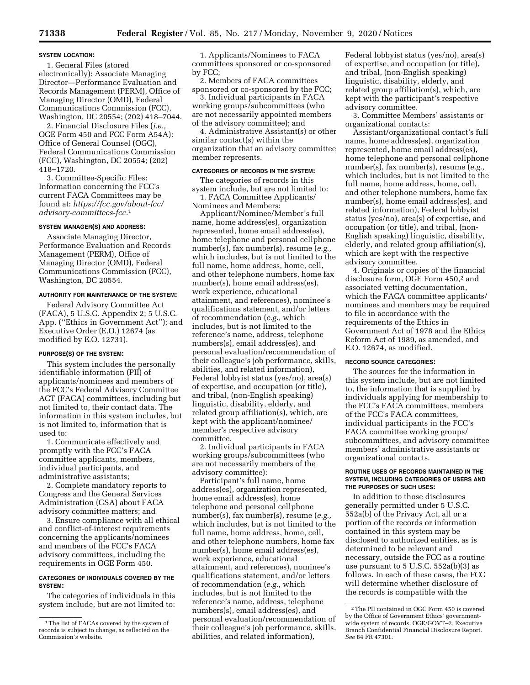#### **SYSTEM LOCATION:**

1. General Files (stored electronically): Associate Managing Director—Performance Evaluation and Records Management (PERM), Office of Managing Director (OMD), Federal Communications Commission (FCC), Washington, DC 20554; (202) 418–7044.

2. Financial Disclosure Files (*i.e.,*  OGE Form 450 and FCC Form A54A): Office of General Counsel (OGC), Federal Communications Commission (FCC), Washington, DC 20554; (202) 418–1720.

3. Committee-Specific Files: Information concerning the FCC's current FACA Committees may be found at: *[https://fcc.gov/about-fcc/](https://fcc.gov/about-fcc/advisory-committees-fcc) [advisory-committees-fcc.](https://fcc.gov/about-fcc/advisory-committees-fcc)*1

### **SYSTEM MANAGER(S) AND ADDRESS:**

Associate Managing Director, Performance Evaluation and Records Management (PERM), Office of Managing Director (OMD), Federal Communications Commission (FCC), Washington, DC 20554.

#### **AUTHORITY FOR MAINTENANCE OF THE SYSTEM:**

Federal Advisory Committee Act (FACA), 5 U.S.C. Appendix 2; 5 U.S.C. App. (''Ethics in Government Act''); and Executive Order (E.O.) 12674 (as modified by E.O. 12731).

### **PURPOSE(S) OF THE SYSTEM:**

This system includes the personally identifiable information (PII) of applicants/nominees and members of the FCC's Federal Advisory Committee ACT (FACA) committees, including but not limited to, their contact data. The information in this system includes, but is not limited to, information that is used to:

1. Communicate effectively and promptly with the FCC's FACA committee applicants, members, individual participants, and administrative assistants;

2. Complete mandatory reports to Congress and the General Services Administration (GSA) about FACA advisory committee matters; and

3. Ensure compliance with all ethical and conflict-of-interest requirements concerning the applicants/nominees and members of the FCC's FACA advisory committees, including the requirements in OGE Form 450.

### **CATEGORIES OF INDIVIDUALS COVERED BY THE SYSTEM:**

The categories of individuals in this system include, but are not limited to:

1. Applicants/Nominees to FACA committees sponsored or co-sponsored by FCC;

2. Members of FACA committees sponsored or co-sponsored by the FCC;

3. Individual participants in FACA working groups/subcommittees (who are not necessarily appointed members of the advisory committee); and

4. Administrative Assistant(s) or other similar contact(s) within the organization that an advisory committee member represents.

### **CATEGORIES OF RECORDS IN THE SYSTEM:**

The categories of records in this system include, but are not limited to:

1. FACA Committee Applicants/ Nominees and Members:

Applicant/Nominee/Member's full name, home address(es), organization represented, home email address(es), home telephone and personal cellphone number(s), fax number(s), resume (*e.g.,*  which includes, but is not limited to the full name, home address, home, cell, and other telephone numbers, home fax number(s), home email address(es), work experience, educational attainment, and references), nominee's qualifications statement, and/or letters of recommendation (*e.g.,* which includes, but is not limited to the reference's name, address, telephone numbers(s), email address(es), and personal evaluation/recommendation of their colleague's job performance, skills, abilities, and related information), Federal lobbyist status (yes/no), area(s) of expertise, and occupation (or title), and tribal, (non-English speaking) linguistic, disability, elderly, and related group affiliation(s), which, are kept with the applicant/nominee/ member's respective advisory committee.

2. Individual participants in FACA working groups/subcommittees (who are not necessarily members of the advisory committee):

Participant's full name, home address(es), organization represented, home email address(es), home telephone and personal cellphone number(s), fax number(s), resume (*e.g.,*  which includes, but is not limited to the full name, home address, home, cell, and other telephone numbers, home fax number(s), home email address(es), work experience, educational attainment, and references), nominee's qualifications statement, and/or letters of recommendation (*e.g.,* which includes, but is not limited to the reference's name, address, telephone numbers(s), email address(es), and personal evaluation/recommendation of their colleague's job performance, skills, abilities, and related information),

Federal lobbyist status (yes/no), area(s) of expertise, and occupation (or title), and tribal, (non-English speaking) linguistic, disability, elderly, and related group affiliation(s), which, are kept with the participant's respective advisory committee.

3. Committee Members' assistants or organizational contacts:

Assistant/organizational contact's full name, home address(es), organization represented, home email address(es), home telephone and personal cellphone number(s), fax number(s), resume (*e.g.,*  which includes, but is not limited to the full name, home address, home, cell, and other telephone numbers, home fax number(s), home email address(es), and related information), Federal lobbyist status (yes/no), area(s) of expertise, and occupation (or title), and tribal, (non-English speaking) linguistic, disability, elderly, and related group affiliation(s), which are kept with the respective advisory committee.

4. Originals or copies of the financial disclosure form, OGE Form 450,<sup>2</sup> and associated vetting documentation, which the FACA committee applicants/ nominees and members may be required to file in accordance with the requirements of the Ethics in Government Act of 1978 and the Ethics Reform Act of 1989, as amended, and E.O. 12674, as modified.

## **RECORD SOURCE CATEGORIES:**

The sources for the information in this system include, but are not limited to, the information that is supplied by individuals applying for membership to the FCC's FACA committees, members of the FCC's FACA committees, individual participants in the FCC's FACA committee working groups/ subcommittees, and advisory committee members' administrative assistants or organizational contacts.

#### **ROUTINE USES OF RECORDS MAINTAINED IN THE SYSTEM, INCLUDING CATEGORIES OF USERS AND THE PURPOSES OF SUCH USES:**

In addition to those disclosures generally permitted under 5 U.S.C. 552a(b) of the Privacy Act, all or a portion of the records or information contained in this system may be disclosed to authorized entities, as is determined to be relevant and necessary, outside the FCC as a routine use pursuant to 5 U.S.C. 552a(b)(3) as follows. In each of these cases, the FCC will determine whether disclosure of the records is compatible with the

<sup>&</sup>lt;sup>1</sup>The list of FACAs covered by the system of records is subject to change, as reflected on the Commission's website.

<sup>2</sup>The PII contained in OGC Form 450 is covered by the Office of Government Ethics' governmentwide system of records, OGE/GOVT–2, Executive Branch Confidential Financial Disclosure Report. *See* 84 FR 47301.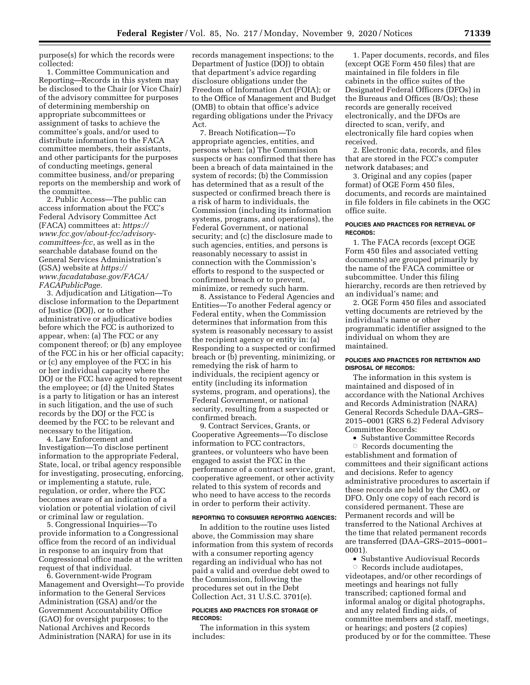purpose(s) for which the records were collected:

1. Committee Communication and Reporting—Records in this system may be disclosed to the Chair (or Vice Chair) of the advisory committee for purposes of determining membership on appropriate subcommittees or assignment of tasks to achieve the committee's goals, and/or used to distribute information to the FACA committee members, their assistants, and other participants for the purposes of conducting meetings, general committee business, and/or preparing reports on the membership and work of the committee.

2. Public Access—The public can access information about the FCC's Federal Advisory Committee Act (FACA) committees at: *[https://](https://www.fcc.gov/about-fcc/advisory-committees-fcc) [www.fcc.gov/about-fcc/advisory](https://www.fcc.gov/about-fcc/advisory-committees-fcc)[committees-fcc,](https://www.fcc.gov/about-fcc/advisory-committees-fcc)* as well as in the searchable database found on the General Services Administration's (GSA) website at *[https://](https://www.facadatabase.gov/FACA/FACAPublicPage) [www.facadatabase.gov/FACA/](https://www.facadatabase.gov/FACA/FACAPublicPage) [FACAPublicPage.](https://www.facadatabase.gov/FACA/FACAPublicPage)* 

3. Adjudication and Litigation—To disclose information to the Department of Justice (DOJ), or to other administrative or adjudicative bodies before which the FCC is authorized to appear, when: (a) The FCC or any component thereof; or (b) any employee of the FCC in his or her official capacity; or (c) any employee of the FCC in his or her individual capacity where the DOJ or the FCC have agreed to represent the employee; or (d) the United States is a party to litigation or has an interest in such litigation, and the use of such records by the DOJ or the FCC is deemed by the FCC to be relevant and necessary to the litigation.

4. Law Enforcement and Investigation—To disclose pertinent information to the appropriate Federal, State, local, or tribal agency responsible for investigating, prosecuting, enforcing, or implementing a statute, rule, regulation, or order, where the FCC becomes aware of an indication of a violation or potential violation of civil or criminal law or regulation.

5. Congressional Inquiries—To provide information to a Congressional office from the record of an individual in response to an inquiry from that Congressional office made at the written request of that individual.

6. Government-wide Program Management and Oversight—To provide information to the General Services Administration (GSA) and/or the Government Accountability Office (GAO) for oversight purposes; to the National Archives and Records Administration (NARA) for use in its

records management inspections; to the Department of Justice (DOJ) to obtain that department's advice regarding disclosure obligations under the Freedom of Information Act (FOIA); or to the Office of Management and Budget (OMB) to obtain that office's advice regarding obligations under the Privacy Act.

7. Breach Notification—To appropriate agencies, entities, and persons when: (a) The Commission suspects or has confirmed that there has been a breach of data maintained in the system of records; (b) the Commission has determined that as a result of the suspected or confirmed breach there is a risk of harm to individuals, the Commission (including its information systems, programs, and operations), the Federal Government, or national security; and (c) the disclosure made to such agencies, entities, and persons is reasonably necessary to assist in connection with the Commission's efforts to respond to the suspected or confirmed breach or to prevent, minimize, or remedy such harm.

8. Assistance to Federal Agencies and Entities—To another Federal agency or Federal entity, when the Commission determines that information from this system is reasonably necessary to assist the recipient agency or entity in: (a) Responding to a suspected or confirmed breach or (b) preventing, minimizing, or remedying the risk of harm to individuals, the recipient agency or entity (including its information systems, program, and operations), the Federal Government, or national security, resulting from a suspected or confirmed breach.

9. Contract Services, Grants, or Cooperative Agreements—To disclose information to FCC contractors, grantees, or volunteers who have been engaged to assist the FCC in the performance of a contract service, grant, cooperative agreement, or other activity related to this system of records and who need to have access to the records in order to perform their activity.

#### **REPORTING TO CONSUMER REPORTING AGENCIES:**

In addition to the routine uses listed above, the Commission may share information from this system of records with a consumer reporting agency regarding an individual who has not paid a valid and overdue debt owed to the Commission, following the procedures set out in the Debt Collection Act, 31 U.S.C. 3701(e).

#### **POLICIES AND PRACTICES FOR STORAGE OF RECORDS:**

The information in this system includes:

1. Paper documents, records, and files (except OGE Form 450 files) that are maintained in file folders in file cabinets in the office suites of the Designated Federal Officers (DFOs) in the Bureaus and Offices (B/Os); these records are generally received electronically, and the DFOs are directed to scan, verify, and electronically file hard copies when received.

2. Electronic data, records, and files that are stored in the FCC's computer network databases; and

3. Original and any copies (paper format) of OGE Form 450 files, documents, and records are maintained in file folders in file cabinets in the OGC office suite.

#### **POLICIES AND PRACTICES FOR RETRIEVAL OF RECORDS:**

1. The FACA records (except OGE Form 450 files and associated vetting documents) are grouped primarily by the name of the FACA committee or subcommittee. Under this filing hierarchy, records are then retrieved by an individual's name; and

2. OGE Form 450 files and associated vetting documents are retrieved by the individual's name or other programmatic identifier assigned to the individual on whom they are maintained.

#### **POLICIES AND PRACTICES FOR RETENTION AND DISPOSAL OF RECORDS:**

The information in this system is maintained and disposed of in accordance with the National Archives and Records Administration (NARA) General Records Schedule DAA–GRS– 2015–0001 (GRS 6.2) Federal Advisory Committee Records:

• Substantive Committee Records

 $\circ$  Records documenting the establishment and formation of committees and their significant actions and decisions. Refer to agency administrative procedures to ascertain if these records are held by the CMO, or DFO. Only one copy of each record is considered permanent. These are Permanent records and will be transferred to the National Archives at the time that related permanent records are transferred (DAA–GRS–2015–0001– 0001).

• Substantive Audiovisual Records  $\circ$  Records include audiotapes, videotapes, and/or other recordings of meetings and hearings not fully transcribed; captioned formal and informal analog or digital photographs, and any related finding aids, of committee members and staff, meetings, or hearings; and posters (2 copies) produced by or for the committee. These